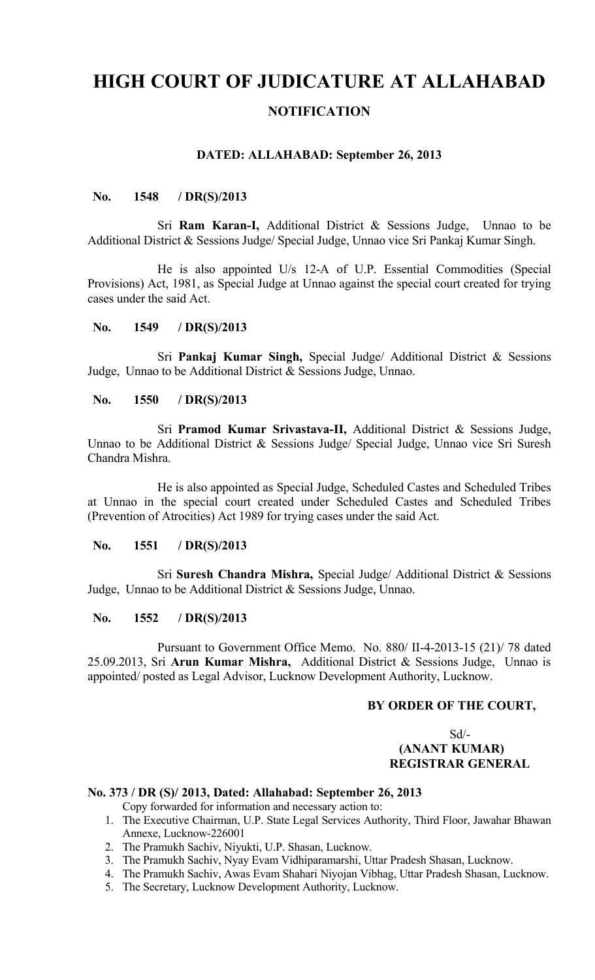# **HIGH COURT OF JUDICATURE AT ALLAHABAD NOTIFICATION**

## **DATED: ALLAHABAD: September 26, 2013**

## **No. 1548 / DR(S)/2013**

Sri **Ram Karan-I,** Additional District & Sessions Judge, Unnao to be Additional District & Sessions Judge/ Special Judge, Unnao vice Sri Pankaj Kumar Singh.

He is also appointed U/s 12-A of U.P. Essential Commodities (Special Provisions) Act, 1981, as Special Judge at Unnao against the special court created for trying cases under the said Act.

## **No. 1549 / DR(S)/2013**

Sri **Pankaj Kumar Singh,** Special Judge/ Additional District & Sessions Judge, Unnao to be Additional District & Sessions Judge, Unnao.

### **No. 1550 / DR(S)/2013**

Sri **Pramod Kumar Srivastava-II,** Additional District & Sessions Judge, Unnao to be Additional District & Sessions Judge/ Special Judge, Unnao vice Sri Suresh Chandra Mishra.

He is also appointed as Special Judge, Scheduled Castes and Scheduled Tribes at Unnao in the special court created under Scheduled Castes and Scheduled Tribes (Prevention of Atrocities) Act 1989 for trying cases under the said Act.

## **No. 1551 / DR(S)/2013**

Sri **Suresh Chandra Mishra,** Special Judge/ Additional District & Sessions Judge, Unnao to be Additional District & Sessions Judge, Unnao.

#### **No. 1552 / DR(S)/2013**

Pursuant to Government Office Memo. No. 880/ II-4-2013-15 (21)/ 78 dated 25.09.2013, Sri **Arun Kumar Mishra,** Additional District & Sessions Judge, Unnao is appointed/ posted as Legal Advisor, Lucknow Development Authority, Lucknow.

## **BY ORDER OF THE COURT,**

## Sd/-  **(ANANT KUMAR) REGISTRAR GENERAL**

## **No. 373 / DR (S)/ 2013, Dated: Allahabad: September 26, 2013**

Copy forwarded for information and necessary action to:

- 1. The Executive Chairman, U.P. State Legal Services Authority, Third Floor, Jawahar Bhawan Annexe, Lucknow-226001
- 2. The Pramukh Sachiv, Niyukti, U.P. Shasan, Lucknow.
- 3. The Pramukh Sachiv, Nyay Evam Vidhiparamarshi, Uttar Pradesh Shasan, Lucknow.
- 4. The Pramukh Sachiv, Awas Evam Shahari Niyojan Vibhag, Uttar Pradesh Shasan, Lucknow.
- 5. The Secretary, Lucknow Development Authority, Lucknow.